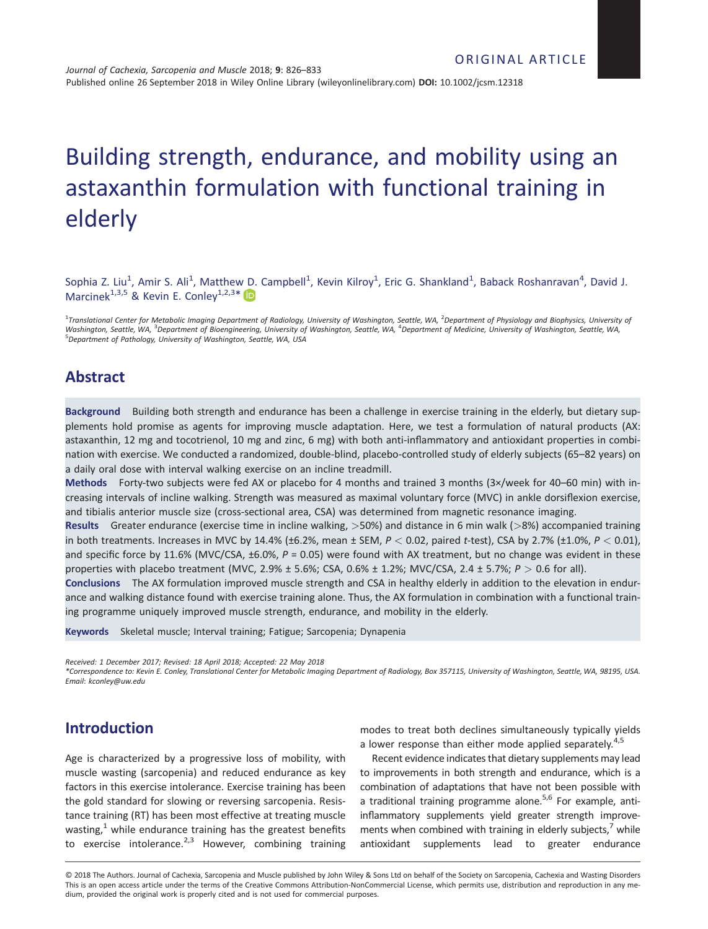# Building strength, endurance, and mobility using an astaxanthin formulation with functional training in elderly

Sophia Z. Liu<sup>1</sup>, Amir S. Ali<sup>1</sup>, Matthew D. Campbell<sup>1</sup>, Kevin Kilroy<sup>1</sup>, Eric G. Shankland<sup>1</sup>, Baback Roshanravan<sup>4</sup>, David J. Marcinek<sup>1,3,5</sup> & Kevin E. Conley<sup>1,2,3\*</sup>

 $^{\rm 1}$ Translational Center for Metabolic Imaging Department of Radiology, University of Washington, Seattle, WA,  $^{\rm 2}$ Department of Physiology and Biophysics, University of Washington, Seattle, WA, <sup>3</sup>Department of Bioengineering, University of Washington, Seattle, WA, <sup>4</sup>Department of Medicine, University of Washington, Seattle, WA,<br><sup>5</sup>Department of Pathology University of Washington, Seattl <sup>5</sup>Department of Pathology, University of Washington, Seattle, WA, USA

# Abstract

Background Building both strength and endurance has been a challenge in exercise training in the elderly, but dietary supplements hold promise as agents for improving muscle adaptation. Here, we test a formulation of natural products (AX: astaxanthin, 12 mg and tocotrienol, 10 mg and zinc, 6 mg) with both anti-inflammatory and antioxidant properties in combination with exercise. We conducted a randomized, double-blind, placebo-controlled study of elderly subjects (65–82 years) on a daily oral dose with interval walking exercise on an incline treadmill.

Methods Forty-two subjects were fed AX or placebo for 4 months and trained 3 months (3×/week for 40–60 min) with increasing intervals of incline walking. Strength was measured as maximal voluntary force (MVC) in ankle dorsiflexion exercise, and tibialis anterior muscle size (cross-sectional area, CSA) was determined from magnetic resonance imaging.

Results Greater endurance (exercise time in incline walking, >50%) and distance in 6 min walk (>8%) accompanied training in both treatments. Increases in MVC by 14.4% (±6.2%, mean  $\pm$  SEM,  $P < 0.02$ , paired t-test), CSA by 2.7% (±1.0%,  $P < 0.01$ ), and specific force by 11.6% (MVC/CSA,  $\pm 6.0$ %,  $P = 0.05$ ) were found with AX treatment, but no change was evident in these properties with placebo treatment (MVC, 2.9%  $\pm$  5.6%; CSA, 0.6%  $\pm$  1.2%; MVC/CSA, 2.4  $\pm$  5.7%;  $P > 0.6$  for all).

Conclusions The AX formulation improved muscle strength and CSA in healthy elderly in addition to the elevation in endurance and walking distance found with exercise training alone. Thus, the AX formulation in combination with a functional training programme uniquely improved muscle strength, endurance, and mobility in the elderly.

Keywords Skeletal muscle; Interval training; Fatigue; Sarcopenia; Dynapenia

Received: 1 December 2017; Revised: 18 April 2018; Accepted: 22 May 2018

\*Correspondence to: Kevin E. Conley, Translational Center for Metabolic Imaging Department of Radiology, Box 357115, University of Washington, Seattle, WA, 98195, USA. Email: kconley@uw.edu

## Introduction

Age is characterized by a progressive loss of mobility, with muscle wasting (sarcopenia) and reduced endurance as key factors in this exercise intolerance. Exercise training has been the gold standard for slowing or reversing sarcopenia. Resistance training (RT) has been most effective at treating muscle wasting, $1$  while endurance training has the greatest benefits to exercise intolerance.<sup>2,3</sup> However, combining training

modes to treat both declines simultaneously typically yields a lower response than either mode applied separately. $4,5$ 

Recent evidence indicates that dietary supplements may lead to improvements in both strength and endurance, which is a combination of adaptations that have not been possible with a traditional training programme alone.<sup>5,6</sup> For example, antiinflammatory supplements yield greater strength improvements when combined with training in elderly subjects, $<sup>7</sup>$  while</sup> antioxidant supplements lead to greater endurance

© 2018 The Authors. Journal of Cachexia, Sarcopenia and Muscle published by John Wiley & Sons Ltd on behalf of the Society on Sarcopenia, Cachexia and Wasting Disorders This is an open access article under the terms of the [Creative Commons Attribution-NonCommercial](http://creativecommons.org/licenses/by-nc/4.0/) License, which permits use, distribution and reproduction in any medium, provided the original work is properly cited and is not used for commercial purposes.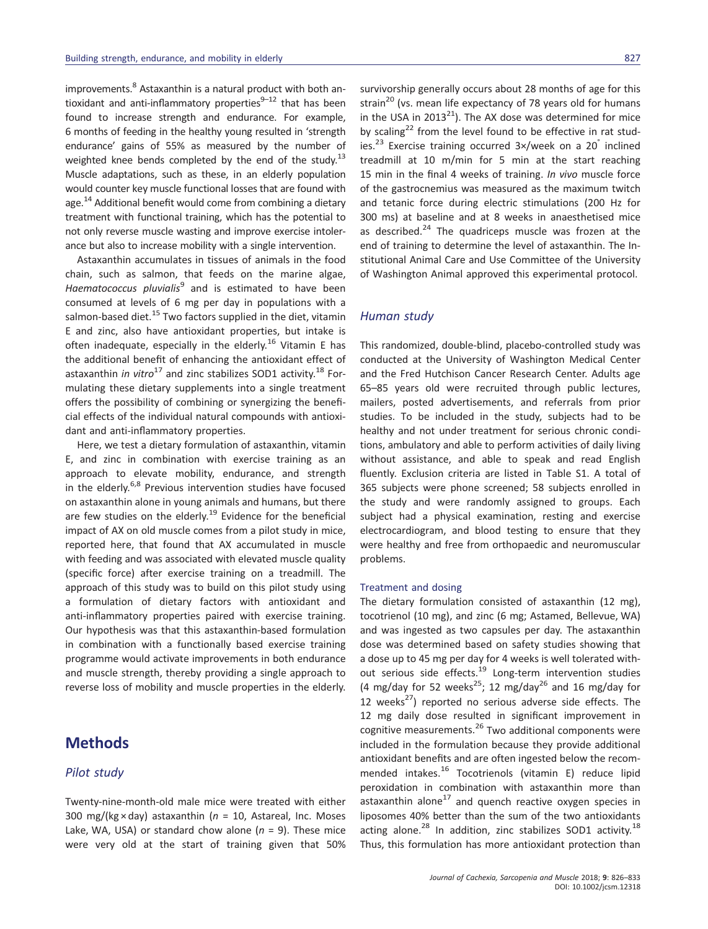improvements.<sup>8</sup> Astaxanthin is a natural product with both antioxidant and anti-inflammatory properties $9-12$  that has been found to increase strength and endurance. For example, 6 months of feeding in the healthy young resulted in 'strength endurance' gains of 55% as measured by the number of weighted knee bends completed by the end of the study.<sup>13</sup> Muscle adaptations, such as these, in an elderly population would counter key muscle functional losses that are found with age.<sup>14</sup> Additional benefit would come from combining a dietary treatment with functional training, which has the potential to not only reverse muscle wasting and improve exercise intolerance but also to increase mobility with a single intervention.

Astaxanthin accumulates in tissues of animals in the food chain, such as salmon, that feeds on the marine algae, Haematococcus pluvialis $9$  and is estimated to have been consumed at levels of 6 mg per day in populations with a salmon-based diet. $^{15}$  Two factors supplied in the diet, vitamin E and zinc, also have antioxidant properties, but intake is often inadequate, especially in the elderly.<sup>16</sup> Vitamin E has the additional benefit of enhancing the antioxidant effect of astaxanthin in vitro<sup>17</sup> and zinc stabilizes SOD1 activity.<sup>18</sup> Formulating these dietary supplements into a single treatment offers the possibility of combining or synergizing the beneficial effects of the individual natural compounds with antioxidant and anti-inflammatory properties.

Here, we test a dietary formulation of astaxanthin, vitamin E, and zinc in combination with exercise training as an approach to elevate mobility, endurance, and strength in the elderly. $6,8$  Previous intervention studies have focused on astaxanthin alone in young animals and humans, but there are few studies on the elderly.<sup>19</sup> Evidence for the beneficial impact of AX on old muscle comes from a pilot study in mice, reported here, that found that AX accumulated in muscle with feeding and was associated with elevated muscle quality (specific force) after exercise training on a treadmill. The approach of this study was to build on this pilot study using a formulation of dietary factors with antioxidant and anti-inflammatory properties paired with exercise training. Our hypothesis was that this astaxanthin-based formulation in combination with a functionally based exercise training programme would activate improvements in both endurance and muscle strength, thereby providing a single approach to reverse loss of mobility and muscle properties in the elderly.

## Methods

## Pilot study

Twenty-nine-month-old male mice were treated with either 300 mg/(kg  $\times$  day) astaxanthin ( $n = 10$ , Astareal, Inc. Moses Lake, WA, USA) or standard chow alone  $(n = 9)$ . These mice were very old at the start of training given that 50% survivorship generally occurs about 28 months of age for this strain<sup>20</sup> (vs. mean life expectancy of 78 years old for humans in the USA in 2013 $^{21}$ ). The AX dose was determined for mice by scaling<sup>22</sup> from the level found to be effective in rat studies.<sup>23</sup> Exercise training occurred 3×/week on a 20° inclined treadmill at 10 m/min for 5 min at the start reaching 15 min in the final 4 weeks of training. In vivo muscle force of the gastrocnemius was measured as the maximum twitch and tetanic force during electric stimulations (200 Hz for 300 ms) at baseline and at 8 weeks in anaesthetised mice as described. $24$  The quadriceps muscle was frozen at the end of training to determine the level of astaxanthin. The Institutional Animal Care and Use Committee of the University of Washington Animal approved this experimental protocol.

## Human study

This randomized, double-blind, placebo-controlled study was conducted at the University of Washington Medical Center and the Fred Hutchison Cancer Research Center. Adults age 65–85 years old were recruited through public lectures, mailers, posted advertisements, and referrals from prior studies. To be included in the study, subjects had to be healthy and not under treatment for serious chronic conditions, ambulatory and able to perform activities of daily living without assistance, and able to speak and read English fluently. Exclusion criteria are listed in Table S1. A total of 365 subjects were phone screened; 58 subjects enrolled in the study and were randomly assigned to groups. Each subject had a physical examination, resting and exercise electrocardiogram, and blood testing to ensure that they were healthy and free from orthopaedic and neuromuscular problems.

#### Treatment and dosing

The dietary formulation consisted of astaxanthin (12 mg), tocotrienol (10 mg), and zinc (6 mg; Astamed, Bellevue, WA) and was ingested as two capsules per day. The astaxanthin dose was determined based on safety studies showing that a dose up to 45 mg per day for 4 weeks is well tolerated without serious side effects.<sup>19</sup> Long-term intervention studies (4 mg/day for 52 weeks<sup>25</sup>; 12 mg/day<sup>26</sup> and 16 mg/day for 12 weeks<sup>27</sup>) reported no serious adverse side effects. The 12 mg daily dose resulted in significant improvement in cognitive measurements.<sup>26</sup> Two additional components were included in the formulation because they provide additional antioxidant benefits and are often ingested below the recommended intakes.<sup>16</sup> Tocotrienols (vitamin E) reduce lipid peroxidation in combination with astaxanthin more than astaxanthin alone<sup>17</sup> and quench reactive oxygen species in liposomes 40% better than the sum of the two antioxidants acting alone. $^{28}$  In addition, zinc stabilizes SOD1 activity.<sup>18</sup> Thus, this formulation has more antioxidant protection than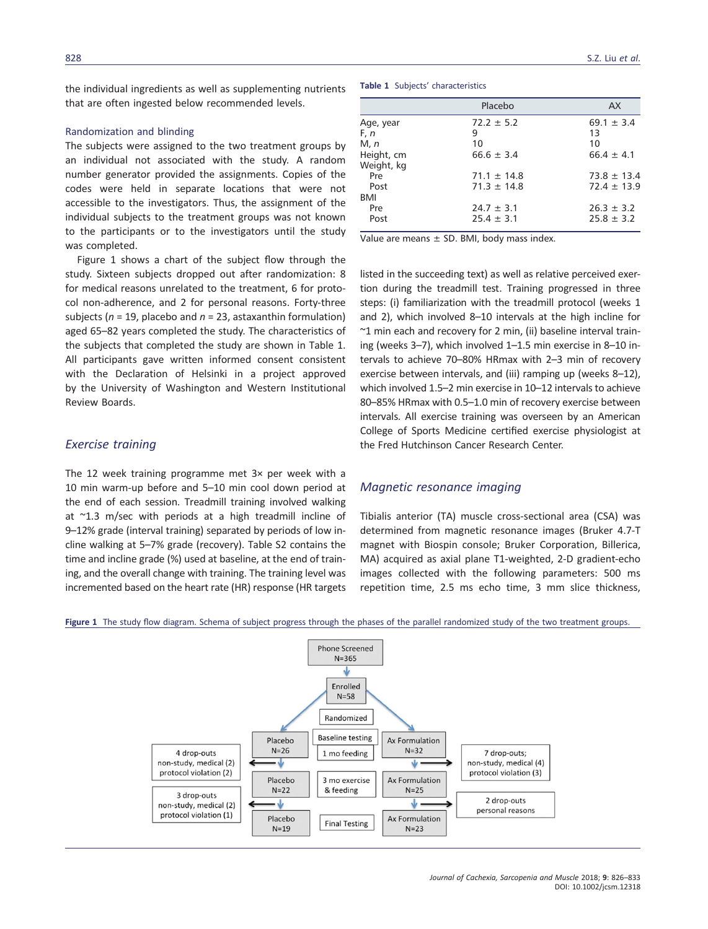the individual ingredients as well as supplementing nutrients that are often ingested below recommended levels.

#### Randomization and blinding

The subjects were assigned to the two treatment groups by an individual not associated with the study. A random number generator provided the assignments. Copies of the codes were held in separate locations that were not accessible to the investigators. Thus, the assignment of the individual subjects to the treatment groups was not known to the participants or to the investigators until the study was completed.

Figure 1 shows a chart of the subject flow through the study. Sixteen subjects dropped out after randomization: 8 for medical reasons unrelated to the treatment, 6 for protocol non-adherence, and 2 for personal reasons. Forty-three subjects ( $n = 19$ , placebo and  $n = 23$ , astaxanthin formulation) aged 65–82 years completed the study. The characteristics of the subjects that completed the study are shown in Table 1. All participants gave written informed consent consistent with the Declaration of Helsinki in a project approved by the University of Washington and Western Institutional Review Boards.

## Exercise training

The 12 week training programme met 3× per week with a 10 min warm-up before and 5–10 min cool down period at the end of each session. Treadmill training involved walking at ~1.3 m/sec with periods at a high treadmill incline of 9–12% grade (interval training) separated by periods of low incline walking at 5–7% grade (recovery). Table S2 contains the time and incline grade (%) used at baseline, at the end of training, and the overall change with training. The training level was incremented based on the heart rate (HR) response (HR targets

#### Table 1 Subjects' characteristics

|                          | Placebo         | <b>AX</b>       |
|--------------------------|-----------------|-----------------|
| Age, year                | $72.2 \pm 5.2$  | $69.1 \pm 3.4$  |
| F, n                     | 9               | 13              |
| M, n                     | 10              | 10              |
| Height, cm<br>Weight, kg | $66.6 \pm 3.4$  | $66.4 \pm 4.1$  |
| Pre                      | $71.1 \pm 14.8$ | $73.8 \pm 13.4$ |
| Post                     | $71.3 \pm 14.8$ | $72.4 \pm 13.9$ |
| <b>BMI</b>               |                 |                 |
| Pre                      | $24.7 \pm 3.1$  | $26.3 \pm 3.2$  |
| Post                     | $25.4 \pm 3.1$  | $25.8 \pm 3.2$  |
|                          |                 |                 |

Value are means  $\pm$  SD. BMI, body mass index.

listed in the succeeding text) as well as relative perceived exertion during the treadmill test. Training progressed in three steps: (i) familiarization with the treadmill protocol (weeks 1 and 2), which involved 8–10 intervals at the high incline for  $\sim$ 1 min each and recovery for 2 min, (ii) baseline interval training (weeks 3–7), which involved 1–1.5 min exercise in 8–10 intervals to achieve 70–80% HRmax with 2–3 min of recovery exercise between intervals, and (iii) ramping up (weeks 8–12), which involved 1.5–2 min exercise in 10–12 intervals to achieve 80–85% HRmax with 0.5–1.0 min of recovery exercise between intervals. All exercise training was overseen by an American College of Sports Medicine certified exercise physiologist at the Fred Hutchinson Cancer Research Center.

### Magnetic resonance imaging

Tibialis anterior (TA) muscle cross-sectional area (CSA) was determined from magnetic resonance images (Bruker 4.7-T magnet with Biospin console; Bruker Corporation, Billerica, MA) acquired as axial plane T1-weighted, 2-D gradient-echo images collected with the following parameters: 500 ms repetition time, 2.5 ms echo time, 3 mm slice thickness,



Figure 1 The study flow diagram. Schema of subject progress through the phases of the parallel randomized study of the two treatment groups.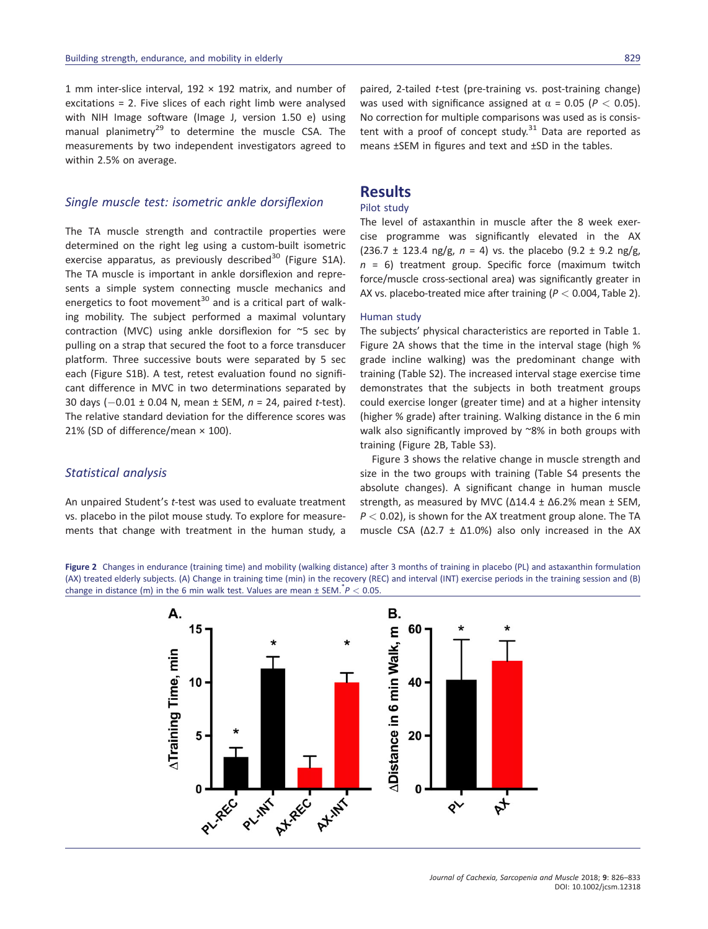1 mm inter-slice interval,  $192 \times 192$  matrix, and number of excitations = 2. Five slices of each right limb were analysed with NIH Image software (Image J, version 1.50 e) using manual planimetry<sup>29</sup> to determine the muscle CSA. The measurements by two independent investigators agreed to within 2.5% on average.

## Single muscle test: isometric ankle dorsiflexion

The TA muscle strength and contractile properties were determined on the right leg using a custom-built isometric exercise apparatus, as previously described<sup>30</sup> (Figure S1A). The TA muscle is important in ankle dorsiflexion and represents a simple system connecting muscle mechanics and energetics to foot movement<sup>30</sup> and is a critical part of walking mobility. The subject performed a maximal voluntary contraction (MVC) using ankle dorsiflexion for ~5 sec by pulling on a strap that secured the foot to a force transducer platform. Three successive bouts were separated by 5 sec each (Figure S1B). A test, retest evaluation found no significant difference in MVC in two determinations separated by 30 days ( $-0.01 \pm 0.04$  N, mean  $\pm$  SEM,  $n = 24$ , paired t-test). The relative standard deviation for the difference scores was 21% (SD of difference/mean × 100).

## Statistical analysis

An unpaired Student's t-test was used to evaluate treatment vs. placebo in the pilot mouse study. To explore for measurements that change with treatment in the human study, a

paired, 2-tailed t-test (pre-training vs. post-training change) was used with significance assigned at  $\alpha$  = 0.05 ( $P < 0.05$ ). No correction for multiple comparisons was used as is consistent with a proof of concept study.<sup>31</sup> Data are reported as means ±SEM in figures and text and ±SD in the tables.

## **Results**

### Pilot study

The level of astaxanthin in muscle after the 8 week exercise programme was significantly elevated in the AX  $(236.7 \pm 123.4 \text{ ng/g}, n = 4)$  vs. the placebo  $(9.2 \pm 9.2 \text{ ng/g})$  $n = 6$ ) treatment group. Specific force (maximum twitch force/muscle cross-sectional area) was significantly greater in AX vs. placebo-treated mice after training ( $P < 0.004$ , Table 2).

#### Human study

The subjects' physical characteristics are reported in Table 1. Figure 2A shows that the time in the interval stage (high % grade incline walking) was the predominant change with training (Table S2). The increased interval stage exercise time demonstrates that the subjects in both treatment groups could exercise longer (greater time) and at a higher intensity (higher % grade) after training. Walking distance in the 6 min walk also significantly improved by ~8% in both groups with training (Figure 2B, Table S3).

Figure 3 shows the relative change in muscle strength and size in the two groups with training (Table S4 presents the absolute changes). A significant change in human muscle strength, as measured by MVC (Δ14.4 ± Δ6.2% mean ± SEM,  $P < 0.02$ ), is shown for the AX treatment group alone. The TA muscle CSA ( $Δ2.7 ± Δ1.0%)$  also only increased in the AX

Figure 2 Changes in endurance (training time) and mobility (walking distance) after 3 months of training in placebo (PL) and astaxanthin formulation (AX) treated elderly subjects. (A) Change in training time (min) in the recovery (REC) and interval (INT) exercise periods in the training session and (B) change in distance (m) in the 6 min walk test. Values are mean  $\pm$  SEM.  $^{*}P$  < 0.05.

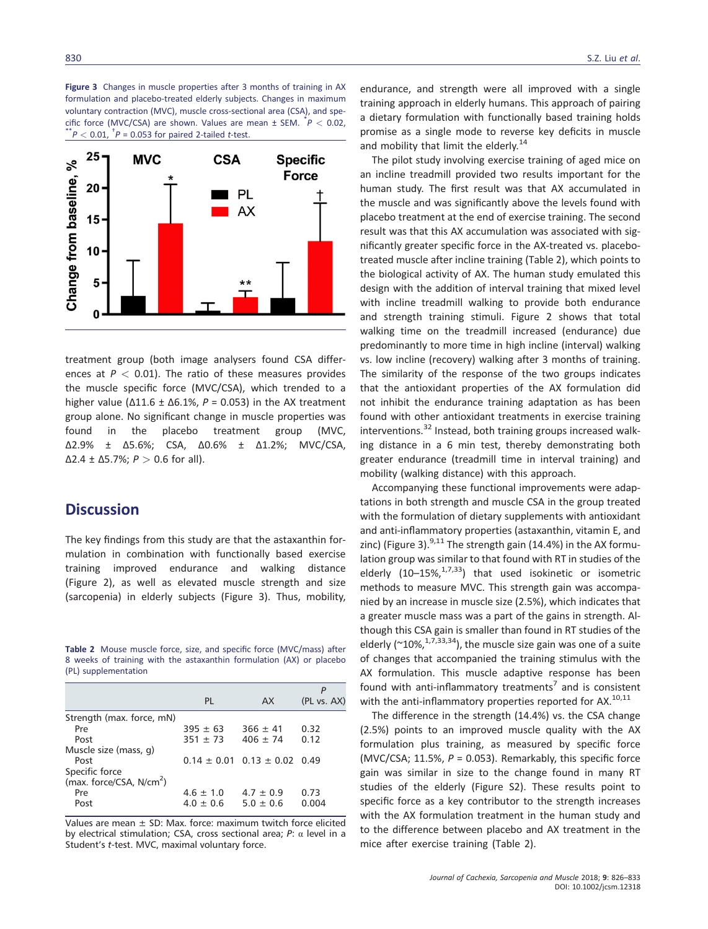Figure 3 Changes in muscle properties after 3 months of training in AX formulation and placebo-treated elderly subjects. Changes in maximum voluntary contraction (MVC), muscle cross-sectional area (CSA), and specific force (MVC/CSA) are shown. Values are mean  $\pm$  SEM.  $^*P$  < 0.02,  $^{**}P$  < 0.01,  $^{\dagger}P$  = 0.053 for paired 2-tailed *t*-test.  $*^{*}P$  < 0.01,  $^{\dagger}P$  = 0.053 for paired 2-tailed t-test.



treatment group (both image analysers found CSA differences at  $P < 0.01$ ). The ratio of these measures provides the muscle specific force (MVC/CSA), which trended to a higher value ( $\Delta$ 11.6 ±  $\Delta$ 6.1%, P = 0.053) in the AX treatment group alone. No significant change in muscle properties was found in the placebo treatment group (MVC, Δ2.9% ± Δ5.6%; CSA, Δ0.6% ± Δ1.2%; MVC/CSA,  $Δ2.4 ± Δ5.7%; P > 0.6$  for all).

## **Discussion**

The key findings from this study are that the astaxanthin formulation in combination with functionally based exercise training improved endurance and walking distance (Figure 2), as well as elevated muscle strength and size (sarcopenia) in elderly subjects (Figure 3). Thus, mobility,

Table 2 Mouse muscle force, size, and specific force (MVC/mass) after 8 weeks of training with the astaxanthin formulation (AX) or placebo (PL) supplementation

|                                      | PL            | AX.                                  | (PL vs. AX) |
|--------------------------------------|---------------|--------------------------------------|-------------|
| Strength (max. force, mN)            |               |                                      |             |
| Pre                                  | $395 \pm 63$  | $366 \pm 41$                         | 0.32        |
| Post                                 | $351 \pm 73$  | $406 \pm 74$                         | 0.12        |
| Muscle size (mass, q)                |               |                                      |             |
| Post                                 |               | $0.14 \pm 0.01$ $0.13 \pm 0.02$ 0.49 |             |
| Specific force                       |               |                                      |             |
| (max. force/CSA, N/cm <sup>2</sup> ) |               |                                      |             |
| Pre                                  | $4.6 \pm 1.0$ | $4.7 \pm 0.9$                        | 0.73        |
| Post                                 | $4.0 \pm 0.6$ | $5.0 \pm 0.6$                        | 0.004       |
|                                      |               |                                      |             |

Values are mean  $\pm$  SD: Max. force: maximum twitch force elicited by electrical stimulation; CSA, cross sectional area; P: α level in a Student's t-test. MVC, maximal voluntary force.

endurance, and strength were all improved with a single training approach in elderly humans. This approach of pairing a dietary formulation with functionally based training holds promise as a single mode to reverse key deficits in muscle and mobility that limit the elderly.<sup>14</sup>

The pilot study involving exercise training of aged mice on an incline treadmill provided two results important for the human study. The first result was that AX accumulated in the muscle and was significantly above the levels found with placebo treatment at the end of exercise training. The second result was that this AX accumulation was associated with significantly greater specific force in the AX-treated vs. placebotreated muscle after incline training (Table 2), which points to the biological activity of AX. The human study emulated this design with the addition of interval training that mixed level with incline treadmill walking to provide both endurance and strength training stimuli. Figure 2 shows that total walking time on the treadmill increased (endurance) due predominantly to more time in high incline (interval) walking vs. low incline (recovery) walking after 3 months of training. The similarity of the response of the two groups indicates that the antioxidant properties of the AX formulation did not inhibit the endurance training adaptation as has been found with other antioxidant treatments in exercise training interventions.<sup>32</sup> Instead, both training groups increased walking distance in a 6 min test, thereby demonstrating both greater endurance (treadmill time in interval training) and mobility (walking distance) with this approach.

Accompanying these functional improvements were adaptations in both strength and muscle CSA in the group treated with the formulation of dietary supplements with antioxidant and anti-inflammatory properties (astaxanthin, vitamin E, and zinc) (Figure 3).  $9,11$  The strength gain (14.4%) in the AX formulation group was similar to that found with RT in studies of the elderly  $(10-15\%,^{1,7,33})$  that used isokinetic or isometric methods to measure MVC. This strength gain was accompanied by an increase in muscle size (2.5%), which indicates that a greater muscle mass was a part of the gains in strength. Although this CSA gain is smaller than found in RT studies of the elderly ( $\gamma$ 10%,<sup>1,7,33,34</sup>), the muscle size gain was one of a suite of changes that accompanied the training stimulus with the AX formulation. This muscle adaptive response has been found with anti-inflammatory treatments<sup>7</sup> and is consistent with the anti-inflammatory properties reported for AX.<sup>10,11</sup>

The difference in the strength (14.4%) vs. the CSA change (2.5%) points to an improved muscle quality with the AX formulation plus training, as measured by specific force (MVC/CSA; 11.5%,  $P = 0.053$ ). Remarkably, this specific force gain was similar in size to the change found in many RT studies of the elderly (Figure S2). These results point to specific force as a key contributor to the strength increases with the AX formulation treatment in the human study and to the difference between placebo and AX treatment in the mice after exercise training (Table 2).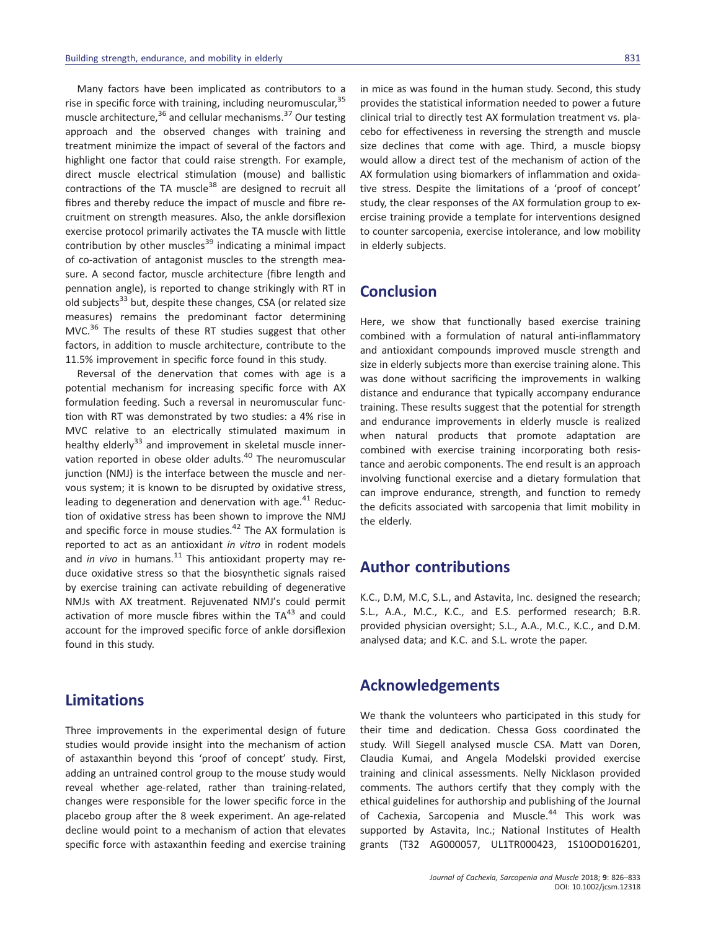Many factors have been implicated as contributors to a rise in specific force with training, including neuromuscular,<sup>35</sup> muscle architecture, $36$  and cellular mechanisms.  $37$  Our testing approach and the observed changes with training and treatment minimize the impact of several of the factors and highlight one factor that could raise strength. For example, direct muscle electrical stimulation (mouse) and ballistic contractions of the TA muscle<sup>38</sup> are designed to recruit all fibres and thereby reduce the impact of muscle and fibre recruitment on strength measures. Also, the ankle dorsiflexion exercise protocol primarily activates the TA muscle with little contribution by other muscles<sup>39</sup> indicating a minimal impact of co-activation of antagonist muscles to the strength measure. A second factor, muscle architecture (fibre length and pennation angle), is reported to change strikingly with RT in old subjects<sup>33</sup> but, despite these changes, CSA (or related size measures) remains the predominant factor determining MVC.<sup>36</sup> The results of these RT studies suggest that other factors, in addition to muscle architecture, contribute to the 11.5% improvement in specific force found in this study.

Reversal of the denervation that comes with age is a potential mechanism for increasing specific force with AX formulation feeding. Such a reversal in neuromuscular function with RT was demonstrated by two studies: a 4% rise in MVC relative to an electrically stimulated maximum in healthy elderly<sup>33</sup> and improvement in skeletal muscle innervation reported in obese older adults.<sup>40</sup> The neuromuscular junction (NMJ) is the interface between the muscle and nervous system; it is known to be disrupted by oxidative stress, leading to degeneration and denervation with age. $41$  Reduction of oxidative stress has been shown to improve the NMJ and specific force in mouse studies.<sup>42</sup> The AX formulation is reported to act as an antioxidant in vitro in rodent models and in vivo in humans. $^{11}$  This antioxidant property may reduce oxidative stress so that the biosynthetic signals raised by exercise training can activate rebuilding of degenerative NMJs with AX treatment. Rejuvenated NMJ's could permit activation of more muscle fibres within the TA<sup>43</sup> and could account for the improved specific force of ankle dorsiflexion found in this study.

# Limitations

Three improvements in the experimental design of future studies would provide insight into the mechanism of action of astaxanthin beyond this 'proof of concept' study. First, adding an untrained control group to the mouse study would reveal whether age-related, rather than training-related, changes were responsible for the lower specific force in the placebo group after the 8 week experiment. An age-related decline would point to a mechanism of action that elevates specific force with astaxanthin feeding and exercise training in mice as was found in the human study. Second, this study

provides the statistical information needed to power a future clinical trial to directly test AX formulation treatment vs. placebo for effectiveness in reversing the strength and muscle size declines that come with age. Third, a muscle biopsy would allow a direct test of the mechanism of action of the AX formulation using biomarkers of inflammation and oxidative stress. Despite the limitations of a 'proof of concept' study, the clear responses of the AX formulation group to exercise training provide a template for interventions designed to counter sarcopenia, exercise intolerance, and low mobility in elderly subjects.

# **Conclusion**

Here, we show that functionally based exercise training combined with a formulation of natural anti-inflammatory and antioxidant compounds improved muscle strength and size in elderly subjects more than exercise training alone. This was done without sacrificing the improvements in walking distance and endurance that typically accompany endurance training. These results suggest that the potential for strength and endurance improvements in elderly muscle is realized when natural products that promote adaptation are combined with exercise training incorporating both resistance and aerobic components. The end result is an approach involving functional exercise and a dietary formulation that can improve endurance, strength, and function to remedy the deficits associated with sarcopenia that limit mobility in the elderly.

# Author contributions

K.C., D.M, M.C, S.L., and Astavita, Inc. designed the research; S.L., A.A., M.C., K.C., and E.S. performed research; B.R. provided physician oversight; S.L., A.A., M.C., K.C., and D.M. analysed data; and K.C. and S.L. wrote the paper.

# Acknowledgements

We thank the volunteers who participated in this study for their time and dedication. Chessa Goss coordinated the study. Will Siegell analysed muscle CSA. Matt van Doren, Claudia Kumai, and Angela Modelski provided exercise training and clinical assessments. Nelly Nicklason provided comments. The authors certify that they comply with the ethical guidelines for authorship and publishing of the Journal of Cachexia, Sarcopenia and Muscle.<sup>44</sup> This work was supported by Astavita, Inc.; National Institutes of Health grants (T32 AG000057, UL1TR000423, 1S10OD016201,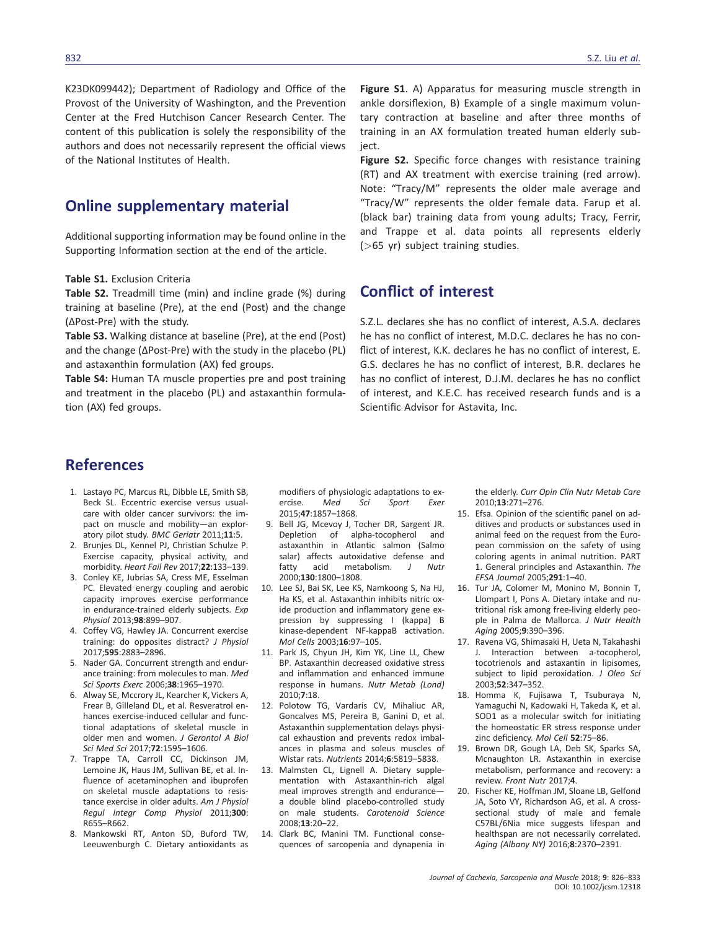K23DK099442); Department of Radiology and Office of the Provost of the University of Washington, and the Prevention Center at the Fred Hutchison Cancer Research Center. The content of this publication is solely the responsibility of the authors and does not necessarily represent the official views of the National Institutes of Health.

## Online supplementary material

Additional supporting information may be found online in the Supporting Information section at the end of the article.

### Table S1. Exclusion Criteria

Table S2. Treadmill time (min) and incline grade (%) during training at baseline (Pre), at the end (Post) and the change (ΔPost-Pre) with the study.

Table S3. Walking distance at baseline (Pre), at the end (Post) and the change (ΔPost-Pre) with the study in the placebo (PL) and astaxanthin formulation (AX) fed groups.

Table S4: Human TA muscle properties pre and post training and treatment in the placebo (PL) and astaxanthin formulation (AX) fed groups.

Figure S1. A) Apparatus for measuring muscle strength in ankle dorsiflexion, B) Example of a single maximum voluntary contraction at baseline and after three months of training in an AX formulation treated human elderly subject.

Figure S2. Specific force changes with resistance training (RT) and AX treatment with exercise training (red arrow). Note: "Tracy/M" represents the older male average and "Tracy/W" represents the older female data. Farup et al. (black bar) training data from young adults; Tracy, Ferrir, and Trappe et al. data points all represents elderly (>65 yr) subject training studies.

# Conflict of interest

S.Z.L. declares she has no conflict of interest, A.S.A. declares he has no conflict of interest, M.D.C. declares he has no conflict of interest, K.K. declares he has no conflict of interest, E. G.S. declares he has no conflict of interest, B.R. declares he has no conflict of interest, D.J.M. declares he has no conflict of interest, and K.E.C. has received research funds and is a Scientific Advisor for Astavita, Inc.

# References

- 1. Lastayo PC, Marcus RL, Dibble LE, Smith SB, Beck SL. Eccentric exercise versus usualcare with older cancer survivors: the impact on muscle and mobility—an exploratory pilot study. BMC Geriatr 2011;11:5.
- 2. Brunjes DL, Kennel PJ, Christian Schulze P. Exercise capacity, physical activity, and morbidity. Heart Fail Rev 2017;22:133–139.
- 3. Conley KE, Jubrias SA, Cress ME, Esselman PC. Elevated energy coupling and aerobic capacity improves exercise performance in endurance-trained elderly subjects. Exp Physiol 2013;98:899–907.
- 4. Coffey VG, Hawley JA. Concurrent exercise training: do opposites distract? J Physiol 2017;595:2883–2896.
- 5. Nader GA. Concurrent strength and endurance training: from molecules to man. Med Sci Sports Exerc 2006;38:1965–1970.
- 6. Alway SE, Mccrory JL, Kearcher K, Vickers A, Frear B, Gilleland DL, et al. Resveratrol enhances exercise-induced cellular and functional adaptations of skeletal muscle in older men and women. J Gerontol A Biol Sci Med Sci 2017;72:1595–1606.
- 7. Trappe TA, Carroll CC, Dickinson JM, Lemoine JK, Haus JM, Sullivan BE, et al. Influence of acetaminophen and ibuprofen on skeletal muscle adaptations to resistance exercise in older adults. Am J Physiol Regul Integr Comp Physiol 2011;300: R655–R662.
- 8. Mankowski RT, Anton SD, Buford TW, Leeuwenburgh C. Dietary antioxidants as

modifiers of physiologic adaptations to ex-<br>ercise. Med Sci Sport Exer ercise. Med Sci Sport Exer 2015;47:1857–1868.

- 9. Bell JG, Mcevoy J, Tocher DR, Sargent JR. Depletion of alpha-tocopherol and astaxanthin in Atlantic salmon (Salmo salar) affects autoxidative defense and fatty acid metabolism. J Nutr 2000;130:1800–1808.
- 10. Lee SJ, Bai SK, Lee KS, Namkoong S, Na HJ, Ha KS, et al. Astaxanthin inhibits nitric oxide production and inflammatory gene expression by suppressing I (kappa) B kinase-dependent NF-kappaB activation. Mol Cells 2003;16:97–105.
- 11. Park JS, Chyun JH, Kim YK, Line LL, Chew BP. Astaxanthin decreased oxidative stress and inflammation and enhanced immune response in humans. Nutr Metab (Lond) 2010;7:18.
- 12. Polotow TG, Vardaris CV, Mihaliuc AR, Goncalves MS, Pereira B, Ganini D, et al. Astaxanthin supplementation delays physical exhaustion and prevents redox imbalances in plasma and soleus muscles of Wistar rats. Nutrients 2014;6:5819–5838.
- 13. Malmsten CL, Lignell A. Dietary supplementation with Astaxanthin-rich algal meal improves strength and endurance a double blind placebo-controlled study on male students. Carotenoid Science 2008;13:20–22.
- 14. Clark BC, Manini TM. Functional consequences of sarcopenia and dynapenia in

the elderly. Curr Opin Clin Nutr Metab Care 2010;13:271–276.

- 15. Efsa. Opinion of the scientific panel on additives and products or substances used in animal feed on the request from the European commission on the safety of using coloring agents in animal nutrition. PART 1. General principles and Astaxanthin. The EFSA Journal 2005;291:1–40.
- 16. Tur JA, Colomer M, Monino M, Bonnin T, Llompart I, Pons A. Dietary intake and nutritional risk among free-living elderly people in Palma de Mallorca. J Nutr Health Aging 2005;9:390–396.
- 17. Ravena VG, Shimasaki H, Ueta N, Takahashi J. Interaction between a-tocopherol, tocotrienols and astaxantin in lipisomes, subject to lipid peroxidation. J Oleo Sci 2003;52:347–352.
- 18. Homma K, Fujisawa T, Tsuburaya N, Yamaguchi N, Kadowaki H, Takeda K, et al. SOD1 as a molecular switch for initiating the homeostatic ER stress response under zinc deficiency. Mol Cell 52:75-86.
- 19. Brown DR, Gough LA, Deb SK, Sparks SA, Mcnaughton LR. Astaxanthin in exercise metabolism, performance and recovery: a review. Front Nutr 2017;4.
- 20. Fischer KE, Hoffman JM, Sloane LB, Gelfond JA, Soto VY, Richardson AG, et al. A crosssectional study of male and female C57BL/6Nia mice suggests lifespan and healthspan are not necessarily correlated. Aging (Albany NY) 2016;8:2370–2391.